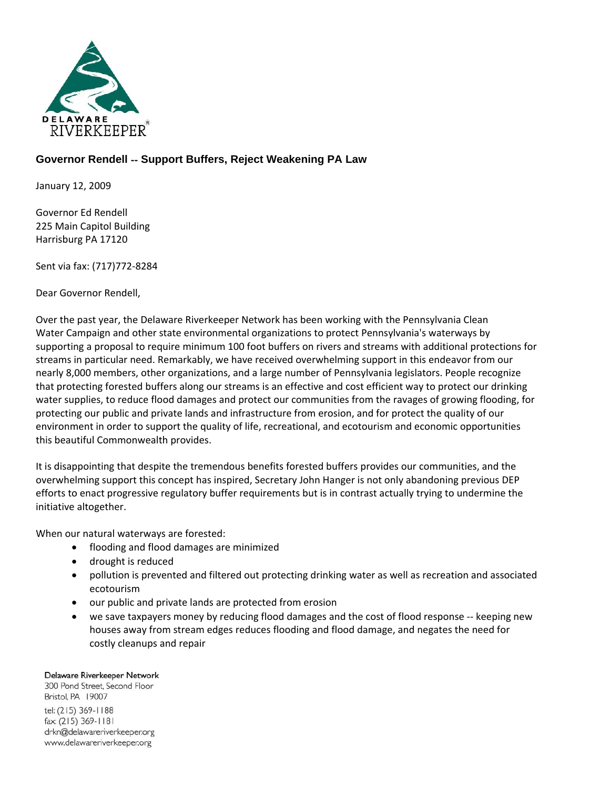

## **Governor Rendell** ‐‐ **Support Buffers, Reject Weakening PA Law**

January 12, 2009

Governor Ed Rendell 225 Main Capitol Building Harrisburg PA 17120

Sent via fax: (717)772‐8284

Dear Governor Rendell,

Over the past year, the Delaware Riverkeeper Network has been working with the Pennsylvania Clean Water Campaign and other state environmental organizations to protect Pennsylvania's waterways by supporting a proposal to require minimum 100 foot buffers on rivers and streams with additional protections for streams in particular need. Remarkably, we have received overwhelming support in this endeavor from our nearly 8,000 members, other organizations, and a large number of Pennsylvania legislators. People recognize that protecting forested buffers along our streams is an effective and cost efficient way to protect our drinking water supplies, to reduce flood damages and protect our communities from the ravages of growing flooding, for protecting our public and private lands and infrastructure from erosion, and for protect the quality of our environment in order to support the quality of life, recreational, and ecotourism and economic opportunities this beautiful Commonwealth provides.

It is disappointing that despite the tremendous benefits forested buffers provides our communities, and the overwhelming support this concept has inspired, Secretary John Hanger is not only abandoning previous DEP efforts to enact progressive regulatory buffer requirements but is in contrast actually trying to undermine the initiative altogether.

When our natural waterways are forested:

- flooding and flood damages are minimized
- drought is reduced
- pollution is prevented and filtered out protecting drinking water as well as recreation and associated ecotourism
- our public and private lands are protected from erosion
- we save taxpayers money by reducing flood damages and the cost of flood response -- keeping new houses away from stream edges reduces flooding and flood damage, and negates the need for costly cleanups and repair

## Delaware Riverkeeper Network

300 Pond Street, Second Floor Bristol, PA 19007 tel: (215) 369-1188 fax: (215) 369-1181 drkn@delawareriverkeeper.org www.delawareriverkeeper.org